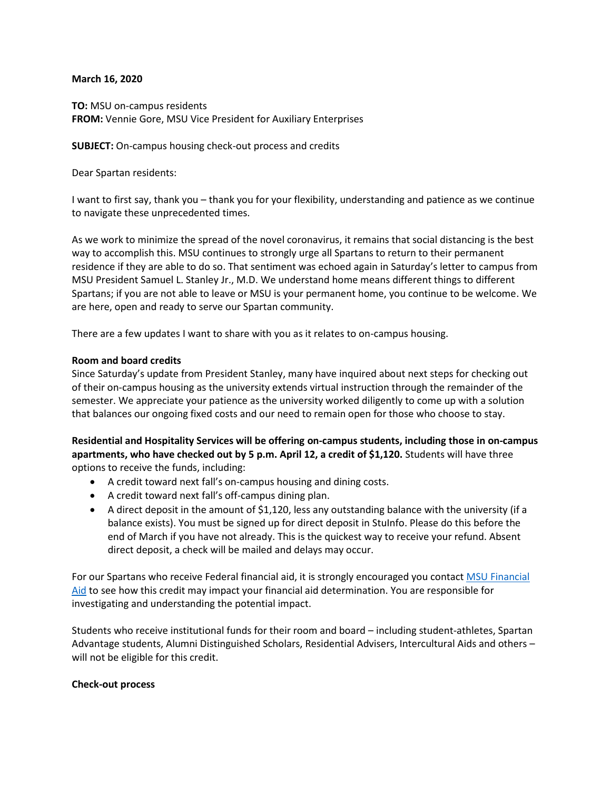## **March 16, 2020**

**TO:** MSU on-campus residents **FROM:** Vennie Gore, MSU Vice President for Auxiliary Enterprises

**SUBJECT:** On-campus housing check-out process and credits

Dear Spartan residents:

I want to first say, thank you – thank you for your flexibility, understanding and patience as we continue to navigate these unprecedented times.

As we work to minimize the spread of the novel coronavirus, it remains that social distancing is the best way to accomplish this. MSU continues to strongly urge all Spartans to return to their permanent residence if they are able to do so. That sentiment was echoed again in Saturday's letter to campus from MSU President Samuel L. Stanley Jr., M.D. We understand home means different things to different Spartans; if you are not able to leave or MSU is your permanent home, you continue to be welcome. We are here, open and ready to serve our Spartan community.

There are a few updates I want to share with you as it relates to on-campus housing.

## **Room and board credits**

Since Saturday's update from President Stanley, many have inquired about next steps for checking out of their on-campus housing as the university extends virtual instruction through the remainder of the semester. We appreciate your patience as the university worked diligently to come up with a solution that balances our ongoing fixed costs and our need to remain open for those who choose to stay.

**Residential and Hospitality Services will be offering on-campus students, including those in on-campus apartments, who have checked out by 5 p.m. April 12, a credit of \$1,120.** Students will have three options to receive the funds, including:

- A credit toward next fall's on-campus housing and dining costs.
- A credit toward next fall's off-campus dining plan.
- A direct deposit in the amount of \$1,120, less any outstanding balance with the university (if a balance exists). You must be signed up for direct deposit in StuInfo. Please do this before the end of March if you have not already. This is the quickest way to receive your refund. Absent direct deposit, a check will be mailed and delays may occur.

For our Spartans who receive Federal financial aid, it is strongly encouraged you contact MSU Financial [Aid](https://finaid.msu.edu/contact.asp) to see how this credit may impact your financial aid determination. You are responsible for investigating and understanding the potential impact.

Students who receive institutional funds for their room and board – including student-athletes, Spartan Advantage students, Alumni Distinguished Scholars, Residential Advisers, Intercultural Aids and others – will not be eligible for this credit.

## **Check-out process**